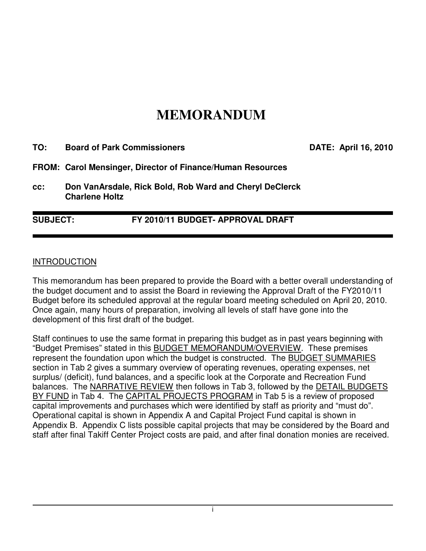# **MEMORANDUM**

| TO:             | <b>Board of Park Commissioners</b>                                               |                                   |  | <b>DATE: April 16, 2010</b> |
|-----------------|----------------------------------------------------------------------------------|-----------------------------------|--|-----------------------------|
|                 | FROM: Carol Mensinger, Director of Finance/Human Resources                       |                                   |  |                             |
| CC:             | Don VanArsdale, Rick Bold, Rob Ward and Cheryl DeClerck<br><b>Charlene Holtz</b> |                                   |  |                             |
| <b>SUBJECT:</b> |                                                                                  | FY 2010/11 BUDGET- APPROVAL DRAFT |  |                             |

#### **INTRODUCTION**

This memorandum has been prepared to provide the Board with a better overall understanding of the budget document and to assist the Board in reviewing the Approval Draft of the FY2010/11 Budget before its scheduled approval at the regular board meeting scheduled on April 20, 2010. Once again, many hours of preparation, involving all levels of staff have gone into the development of this first draft of the budget.

Staff continues to use the same format in preparing this budget as in past years beginning with "Budget Premises" stated in this BUDGET MEMORANDUM/OVERVIEW. These premises represent the foundation upon which the budget is constructed. The BUDGET SUMMARIES section in Tab 2 gives a summary overview of operating revenues, operating expenses, net surplus/ (deficit), fund balances, and a specific look at the Corporate and Recreation Fund balances. The NARRATIVE REVIEW then follows in Tab 3, followed by the DETAIL BUDGETS BY FUND in Tab 4. The CAPITAL PROJECTS PROGRAM in Tab 5 is a review of proposed capital improvements and purchases which were identified by staff as priority and "must do". Operational capital is shown in Appendix A and Capital Project Fund capital is shown in Appendix B. Appendix C lists possible capital projects that may be considered by the Board and staff after final Takiff Center Project costs are paid, and after final donation monies are received.

i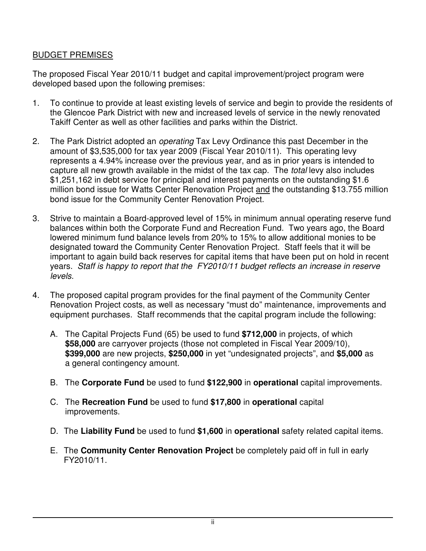# BUDGET PREMISES

The proposed Fiscal Year 2010/11 budget and capital improvement/project program were developed based upon the following premises:

- 1. To continue to provide at least existing levels of service and begin to provide the residents of the Glencoe Park District with new and increased levels of service in the newly renovated Takiff Center as well as other facilities and parks within the District.
- 2. The Park District adopted an *operating* Tax Levy Ordinance this past December in the amount of \$3,535,000 for tax year 2009 (Fiscal Year 2010/11). This operating levy represents a 4.94% increase over the previous year, and as in prior years is intended to capture all new growth available in the midst of the tax cap. The total levy also includes \$1,251,162 in debt service for principal and interest payments on the outstanding \$1.6 million bond issue for Watts Center Renovation Project and the outstanding \$13.755 million bond issue for the Community Center Renovation Project.
- 3. Strive to maintain a Board-approved level of 15% in minimum annual operating reserve fund balances within both the Corporate Fund and Recreation Fund. Two years ago, the Board lowered minimum fund balance levels from 20% to 15% to allow additional monies to be designated toward the Community Center Renovation Project. Staff feels that it will be important to again build back reserves for capital items that have been put on hold in recent years. Staff is happy to report that the FY2010/11 budget reflects an increase in reserve levels.
- 4. The proposed capital program provides for the final payment of the Community Center Renovation Project costs, as well as necessary "must do" maintenance, improvements and equipment purchases. Staff recommends that the capital program include the following:
	- A. The Capital Projects Fund (65) be used to fund **\$712,000** in projects, of which **\$58,000** are carryover projects (those not completed in Fiscal Year 2009/10), **\$399,000** are new projects, **\$250,000** in yet "undesignated projects", and **\$5,000** as a general contingency amount.
	- B. The **Corporate Fund** be used to fund **\$122,900** in **operational** capital improvements.
	- C. The **Recreation Fund** be used to fund **\$17,800** in **operational** capital improvements.
	- D. The **Liability Fund** be used to fund **\$1,600** in **operational** safety related capital items.
	- E. The **Community Center Renovation Project** be completely paid off in full in early FY2010/11.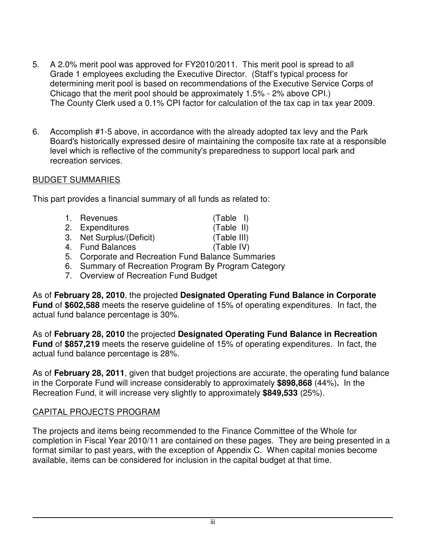- 5. A 2.0% merit pool was approved for FY2010/2011. This merit pool is spread to all Grade 1 employees excluding the Executive Director. (Staff's typical process for determining merit pool is based on recommendations of the Executive Service Corps of Chicago that the merit pool should be approximately 1.5% - 2% above CPI.) The County Clerk used a 0.1% CPI factor for calculation of the tax cap in tax year 2009.
- 6. Accomplish #1-5 above, in accordance with the already adopted tax levy and the Park Board's historically expressed desire of maintaining the composite tax rate at a responsible level which is reflective of the community's preparedness to support local park and recreation services.

## BUDGET SUMMARIES

This part provides a financial summary of all funds as related to:

| 1. Revenues                                  | $(Table$ I) |
|----------------------------------------------|-------------|
| 2. Expenditures                              | (Table II)  |
| 3. Net Surplus/(Deficit)                     | (Table III) |
| 4. Fund Balances                             | (Table IV)  |
| E Carperate and Desreetian Eund Polence Sumn |             |

- 5. Corporate and Recreation Fund Balance Summaries
- 6. Summary of Recreation Program By Program Category
- 7. Overview of Recreation Fund Budget

As of **February 28, 2010**, the projected **Designated Operating Fund Balance in Corporate Fund** of **\$602,588** meets the reserve guideline of 15% of operating expenditures. In fact, the actual fund balance percentage is 30%.

As of **February 28, 2010** the projected **Designated Operating Fund Balance in Recreation Fund** of **\$857,219** meets the reserve guideline of 15% of operating expenditures. In fact, the actual fund balance percentage is 28%.

As of **February 28, 2011**, given that budget projections are accurate, the operating fund balance in the Corporate Fund will increase considerably to approximately **\$898,868** (44%)**.** In the Recreation Fund, it will increase very slightly to approximately **\$849,533** (25%).

# CAPITAL PROJECTS PROGRAM

The projects and items being recommended to the Finance Committee of the Whole for completion in Fiscal Year 2010/11 are contained on these pages. They are being presented in a format similar to past years, with the exception of Appendix C. When capital monies become available, items can be considered for inclusion in the capital budget at that time.